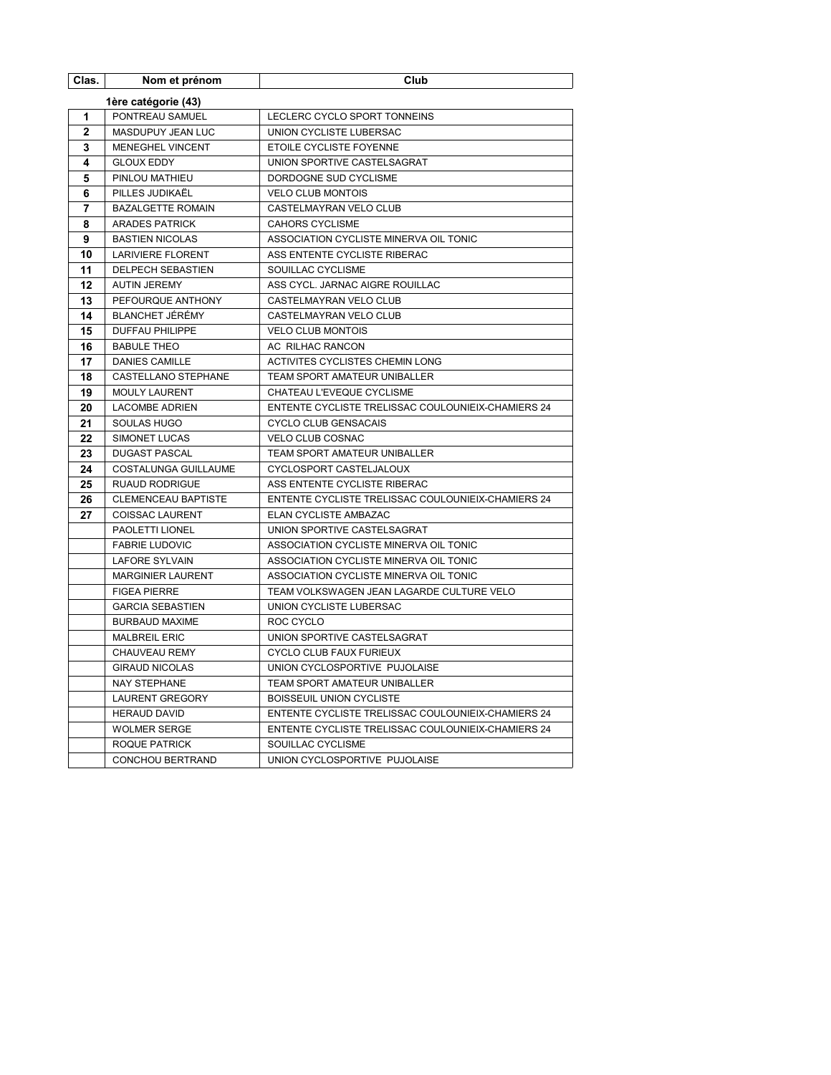| Clas.          | Nom et prénom                                 | Club                                               |
|----------------|-----------------------------------------------|----------------------------------------------------|
|                | 1ère catégorie (43)                           |                                                    |
| 1              | PONTREAU SAMUEL                               | LECLERC CYCLO SPORT TONNEINS                       |
| $\overline{2}$ | MASDUPUY JEAN LUC                             | UNION CYCLISTE LUBERSAC                            |
| 3              | MENEGHEL VINCENT                              | ETOILE CYCLISTE FOYENNE                            |
| 4              | <b>GLOUX EDDY</b>                             | UNION SPORTIVE CASTELSAGRAT                        |
| 5              | PINLOU MATHIEU                                | DORDOGNE SUD CYCLISME                              |
| 6              | PILLES JUDIKAËL                               | <b>VELO CLUB MONTOIS</b>                           |
| 7              | <b>BAZALGETTE ROMAIN</b>                      | CASTELMAYRAN VELO CLUB                             |
| 8              | <b>ARADES PATRICK</b>                         | <b>CAHORS CYCLISME</b>                             |
| 9              | <b>BASTIEN NICOLAS</b>                        | ASSOCIATION CYCLISTE MINERVA OIL TONIC             |
| 10             | <b>LARIVIERE FLORENT</b>                      | ASS ENTENTE CYCLISTE RIBERAC                       |
| 11             | <b>DELPECH SEBASTIEN</b>                      | SOUILLAC CYCLISME                                  |
| 12             | <b>AUTIN JEREMY</b>                           | ASS CYCL. JARNAC AIGRE ROUILLAC                    |
| 13             | PEFOURQUE ANTHONY                             | CASTELMAYRAN VELO CLUB                             |
| 14             | <b>BLANCHET JÉRÉMY</b>                        | CASTELMAYRAN VELO CLUB                             |
| 15             | <b>DUFFAU PHILIPPE</b>                        | <b>VELO CLUB MONTOIS</b>                           |
| 16             | <b>BABULE THEO</b>                            | AC RILHAC RANCON                                   |
| 17             | <b>DANIES CAMILLE</b>                         | ACTIVITES CYCLISTES CHEMIN LONG                    |
| 18             | <b>CASTELLANO STEPHANE</b>                    | TEAM SPORT AMATEUR UNIBALLER                       |
| 19             | <b>MOULY LAURENT</b>                          | CHATEAU L'EVEQUE CYCLISME                          |
| 20             | <b>LACOMBE ADRIEN</b>                         | ENTENTE CYCLISTE TRELISSAC COULOUNIEIX-CHAMIERS 24 |
| 21             | SOULAS HUGO                                   | CYCLO CLUB GENSACAIS                               |
| 22             | SIMONET LUCAS                                 | VELO CLUB COSNAC                                   |
| 23             | <b>DUGAST PASCAL</b>                          | TEAM SPORT AMATEUR UNIBALLER                       |
| 24             | <b>COSTALUNGA GUILLAUME</b>                   | CYCLOSPORT CASTELJALOUX                            |
| 25             | <b>RUAUD RODRIGUE</b>                         | ASS ENTENTE CYCLISTE RIBERAC                       |
| 26             | <b>CLEMENCEAU BAPTISTE</b>                    | ENTENTE CYCLISTE TRELISSAC COULOUNIEIX-CHAMIERS 24 |
| 27             | <b>COISSAC LAURENT</b>                        | ELAN CYCLISTE AMBAZAC                              |
|                | PAOLETTI LIONEL                               | UNION SPORTIVE CASTELSAGRAT                        |
|                | <b>FABRIE LUDOVIC</b>                         | ASSOCIATION CYCLISTE MINERVA OIL TONIC             |
|                | <b>LAFORE SYLVAIN</b>                         | ASSOCIATION CYCLISTE MINERVA OIL TONIC             |
|                | <b>MARGINIER LAURENT</b>                      | ASSOCIATION CYCLISTE MINERVA OIL TONIC             |
|                | <b>FIGEA PIERRE</b>                           | TEAM VOLKSWAGEN JEAN LAGARDE CULTURE VELO          |
|                | <b>GARCIA SEBASTIEN</b>                       | UNION CYCLISTE LUBERSAC                            |
|                | <b>BURBAUD MAXIME</b><br><b>MALBREIL ERIC</b> | ROC CYCLO<br>UNION SPORTIVE CASTELSAGRAT           |
|                | CHAUVEAU REMY                                 | CYCLO CLUB FAUX FURIEUX                            |
|                | <b>GIRAUD NICOLAS</b>                         | UNION CYCLOSPORTIVE PUJOLAISE                      |
|                | <b>NAY STEPHANE</b>                           | <b>TEAM SPORT AMATEUR UNIBALLER</b>                |
|                | <b>LAURENT GREGORY</b>                        | BOISSEUIL UNION CYCLISTE                           |
|                | <b>HERAUD DAVID</b>                           | ENTENTE CYCLISTE TRELISSAC COULOUNIEIX-CHAMIERS 24 |
|                | <b>WOLMER SERGE</b>                           | ENTENTE CYCLISTE TRELISSAC COULOUNIEIX-CHAMIERS 24 |
|                | ROQUE PATRICK                                 | SOUILLAC CYCLISME                                  |
|                | CONCHOU BERTRAND                              | UNION CYCLOSPORTIVE PUJOLAISE                      |
|                |                                               |                                                    |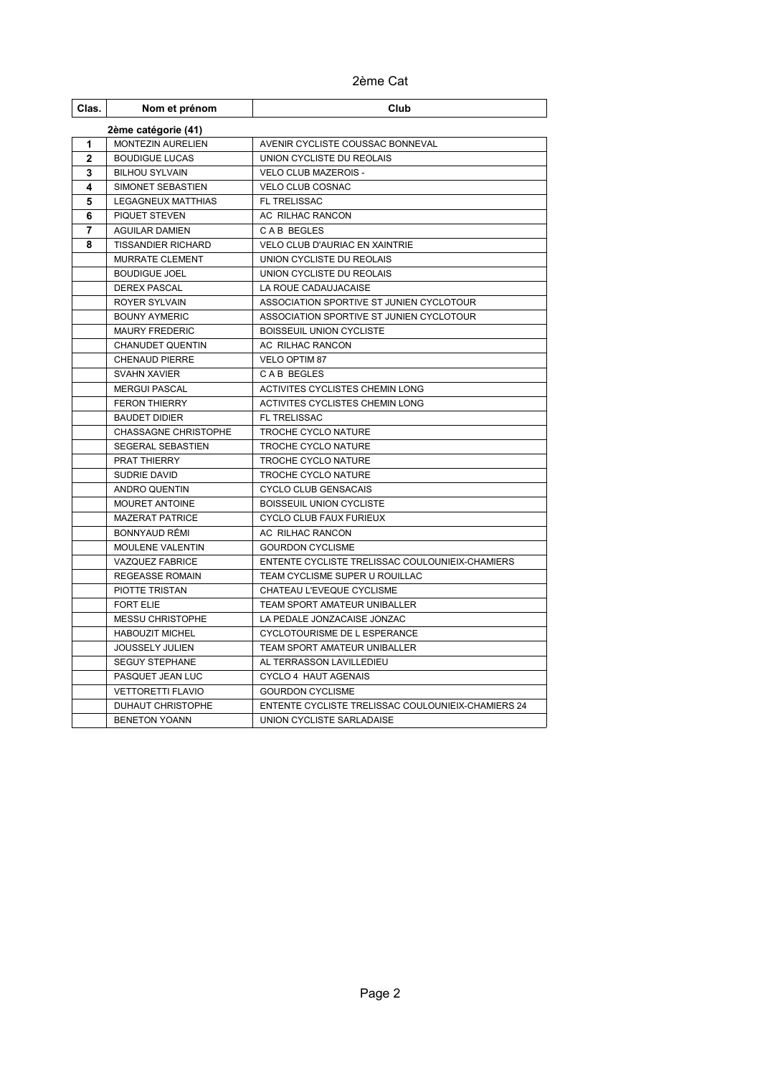2ème Cat

| Clas.               | Nom et prénom               | Club                                               |  |  |
|---------------------|-----------------------------|----------------------------------------------------|--|--|
| 2ème catégorie (41) |                             |                                                    |  |  |
| 1                   | MONTEZIN AURELIEN           | AVENIR CYCLISTE COUSSAC BONNEVAL                   |  |  |
| $\mathbf{2}$        | <b>BOUDIGUE LUCAS</b>       | UNION CYCLISTE DU REOLAIS                          |  |  |
| 3                   | <b>BILHOU SYLVAIN</b>       | <b>VELO CLUB MAZEROIS -</b>                        |  |  |
| 4                   | SIMONET SEBASTIEN           | <b>VELO CLUB COSNAC</b>                            |  |  |
| 5                   | <b>LEGAGNEUX MATTHIAS</b>   | FL TRELISSAC                                       |  |  |
| 6                   | <b>PIQUET STEVEN</b>        | AC RILHAC RANCON                                   |  |  |
| 7                   | <b>AGUILAR DAMIEN</b>       | CAB BEGLES                                         |  |  |
| 8                   | <b>TISSANDIER RICHARD</b>   | <b>VELO CLUB D'AURIAC EN XAINTRIE</b>              |  |  |
|                     | <b>MURRATE CLEMENT</b>      | UNION CYCLISTE DU REOLAIS                          |  |  |
|                     | <b>BOUDIGUE JOEL</b>        | UNION CYCLISTE DU REOLAIS                          |  |  |
|                     | <b>DEREX PASCAL</b>         | LA ROUE CADAUJACAISE                               |  |  |
|                     | <b>ROYER SYLVAIN</b>        | ASSOCIATION SPORTIVE ST JUNIEN CYCLOTOUR           |  |  |
|                     | <b>BOUNY AYMERIC</b>        | ASSOCIATION SPORTIVE ST JUNIEN CYCLOTOUR           |  |  |
|                     | <b>MAURY FREDERIC</b>       | BOISSEUIL UNION CYCLISTE                           |  |  |
|                     | <b>CHANUDET QUENTIN</b>     | AC RILHAC RANCON                                   |  |  |
|                     | <b>CHENAUD PIERRE</b>       | VELO OPTIM 87                                      |  |  |
|                     | <b>SVAHN XAVIER</b>         | CAB BEGLES                                         |  |  |
|                     | <b>MERGUI PASCAL</b>        | ACTIVITES CYCLISTES CHEMIN LONG                    |  |  |
|                     | <b>FERON THIERRY</b>        | ACTIVITES CYCLISTES CHEMIN LONG                    |  |  |
|                     | <b>BAUDET DIDIER</b>        | <b>FL TRELISSAC</b>                                |  |  |
|                     | <b>CHASSAGNE CHRISTOPHE</b> | TROCHE CYCLO NATURE                                |  |  |
|                     | SEGERAL SEBASTIEN           | TROCHE CYCLO NATURE                                |  |  |
|                     | PRAT THIERRY                | TROCHE CYCLO NATURE                                |  |  |
|                     | SUDRIE DAVID                | TROCHE CYCLO NATURE                                |  |  |
|                     | ANDRO QUENTIN               | <b>CYCLO CLUB GENSACAIS</b>                        |  |  |
|                     | <b>MOURET ANTOINE</b>       | BOISSEUIL UNION CYCLISTE                           |  |  |
|                     | <b>MAZERAT PATRICE</b>      | CYCLO CLUB FAUX FURIEUX                            |  |  |
|                     | BONNYAUD RÉMI               | <b>AC RILHAC RANCON</b>                            |  |  |
|                     | <b>MOULENE VALENTIN</b>     | <b>GOURDON CYCLISME</b>                            |  |  |
|                     | <b>VAZQUEZ FABRICE</b>      | ENTENTE CYCLISTE TRELISSAC COULOUNIEIX-CHAMIERS    |  |  |
|                     | <b>REGEASSE ROMAIN</b>      | TEAM CYCLISME SUPER U ROUILLAC                     |  |  |
|                     | PIOTTE TRISTAN              | CHATEAU L'EVEQUE CYCLISME                          |  |  |
|                     | <b>FORT ELIE</b>            | TEAM SPORT AMATEUR UNIBALLER                       |  |  |
|                     | <b>MESSU CHRISTOPHE</b>     | LA PEDALE JONZACAISE JONZAC                        |  |  |
|                     | <b>HABOUZIT MICHEL</b>      | CYCLOTOURISME DE L ESPERANCE                       |  |  |
|                     | <b>JOUSSELY JULIEN</b>      | TEAM SPORT AMATEUR UNIBALLER                       |  |  |
|                     | <b>SEGUY STEPHANE</b>       | AL TERRASSON LAVILLEDIEU                           |  |  |
|                     | PASQUET JEAN LUC            | CYCLO 4 HAUT AGENAIS                               |  |  |
|                     | <b>VETTORETTI FLAVIO</b>    | <b>GOURDON CYCLISME</b>                            |  |  |
|                     | DUHAUT CHRISTOPHE           | ENTENTE CYCLISTE TRELISSAC COULOUNIEIX-CHAMIERS 24 |  |  |
|                     | <b>BENETON YOANN</b>        | UNION CYCLISTE SARLADAISE                          |  |  |